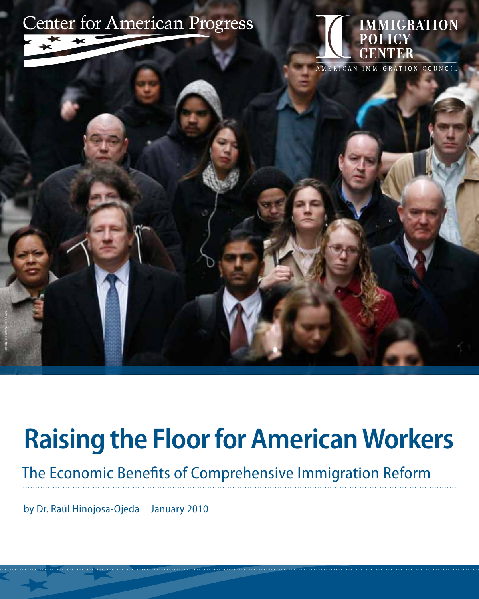

# **Raising the Floor for American Workers**

The Economic Benefits of Comprehensive Immigration Reform

by Dr. Raúl Hinojosa-Ojeda January 2010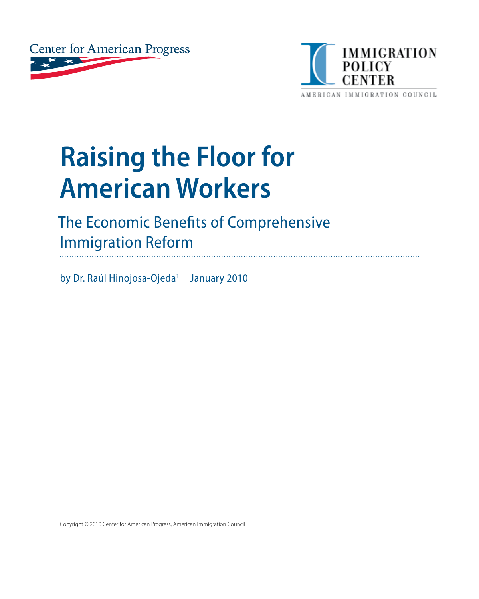



# **Raising the Floor for American Workers**

# The Economic Benefits of Comprehensive Immigration Reform

by Dr. Raúl Hinojosa-Ojeda<sup>1</sup> January 2010

Copyright © 2010 Center for American Progress, American Immigration Council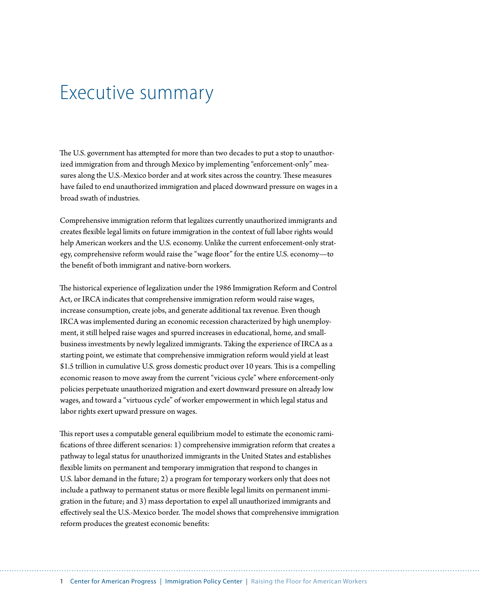# Executive summary

The U.S. government has attempted for more than two decades to put a stop to unauthorized immigration from and through Mexico by implementing "enforcement-only" measures along the U.S.-Mexico border and at work sites across the country. These measures have failed to end unauthorized immigration and placed downward pressure on wages in a broad swath of industries.

Comprehensive immigration reform that legalizes currently unauthorized immigrants and creates flexible legal limits on future immigration in the context of full labor rights would help American workers and the U.S. economy. Unlike the current enforcement-only strategy, comprehensive reform would raise the "wage floor" for the entire U.S. economy—to the benefit of both immigrant and native-born workers.

The historical experience of legalization under the 1986 Immigration Reform and Control Act, or IRCA indicates that comprehensive immigration reform would raise wages, increase consumption, create jobs, and generate additional tax revenue. Even though IRCA was implemented during an economic recession characterized by high unemployment, it still helped raise wages and spurred increases in educational, home, and smallbusiness investments by newly legalized immigrants. Taking the experience of IRCA as a starting point, we estimate that comprehensive immigration reform would yield at least \$1.5 trillion in cumulative U.S. gross domestic product over 10 years. This is a compelling economic reason to move away from the current "vicious cycle" where enforcement-only policies perpetuate unauthorized migration and exert downward pressure on already low wages, and toward a "virtuous cycle" of worker empowerment in which legal status and labor rights exert upward pressure on wages.

This report uses a computable general equilibrium model to estimate the economic ramifications of three different scenarios: 1) comprehensive immigration reform that creates a pathway to legal status for unauthorized immigrants in the United States and establishes flexible limits on permanent and temporary immigration that respond to changes in U.S. labor demand in the future; 2) a program for temporary workers only that does not include a pathway to permanent status or more flexible legal limits on permanent immigration in the future; and 3) mass deportation to expel all unauthorized immigrants and effectively seal the U.S.-Mexico border. The model shows that comprehensive immigration reform produces the greatest economic benefits: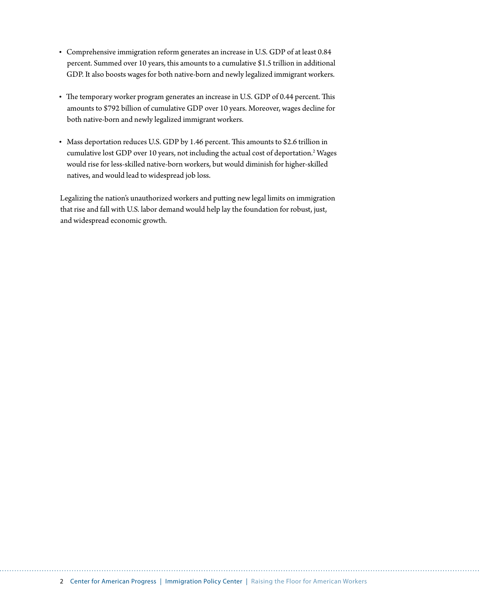- • Comprehensive immigration reform generates an increase in U.S. GDP of at least 0.84 percent. Summed over 10 years, this amounts to a cumulative \$1.5 trillion in additional GDP. It also boosts wages for both native-born and newly legalized immigrant workers.
- The temporary worker program generates an increase in U.S. GDP of 0.44 percent. This amounts to \$792 billion of cumulative GDP over 10 years. Moreover, wages decline for both native-born and newly legalized immigrant workers.
- Mass deportation reduces U.S. GDP by 1.46 percent. This amounts to \$2.6 trillion in cumulative lost GDP over 10 years, not including the actual cost of deportation.<sup>2</sup> Wages would rise for less-skilled native-born workers, but would diminish for higher-skilled natives, and would lead to widespread job loss.

Legalizing the nation's unauthorized workers and putting new legal limits on immigration that rise and fall with U.S. labor demand would help lay the foundation for robust, just, and widespread economic growth.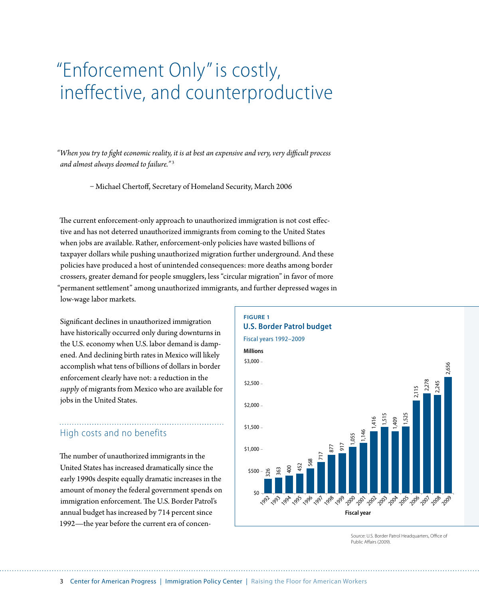# "Enforcement Only" is costly, ineffective, and counterproductive

*"When you try to fight economic reality, it is at best an expensive and very, very difficult process and almost always doomed to failure."*<sup>3</sup>

– Michael Chertoff, Secretary of Homeland Security, March 2006

The current enforcement-only approach to unauthorized immigration is not cost effective and has not deterred unauthorized immigrants from coming to the United States when jobs are available. Rather, enforcement-only policies have wasted billions of taxpayer dollars while pushing unauthorized migration further underground. And these policies have produced a host of unintended consequences: more deaths among border crossers, greater demand for people smugglers, less "circular migration" in favor of more "permanent settlement" among unauthorized immigrants, and further depressed wages in low-wage labor markets.

Significant declines in unauthorized immigration have historically occurred only during downturns in the U.S. economy when U.S. labor demand is dampened. And declining birth rates in Mexico will likely accomplish what tens of billions of dollars in border enforcement clearly have not: a reduction in the *supply* of migrants from Mexico who are available for jobs in the United States.

# High costs and no benefits

The number of unauthorized immigrants in the United States has increased dramatically since the early 1990s despite equally dramatic increases in the amount of money the federal government spends on immigration enforcement. The U.S. Border Patrol's annual budget has increased by 714 percent since 1992—the year before the current era of concen-



Source: U.S. Border Patrol Headquarters, Office of Public Affairs (2009).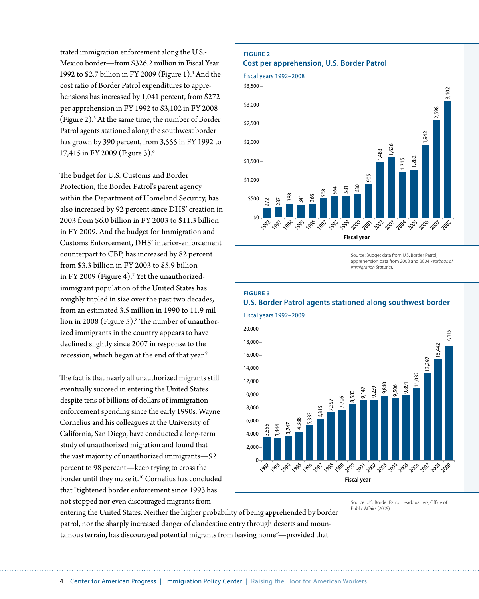trated immigration enforcement along the U.S.- Mexico border—from \$326.2 million in Fiscal Year 1992 to \$2.7 billion in FY 2009 (Figure 1).<sup>4</sup> And the cost ratio of Border Patrol expenditures to apprehensions has increased by 1,041 percent, from \$272 per apprehension in FY 1992 to \$3,102 in FY 2008 (Figure 2).5 At the same time, the number of Border Patrol agents stationed along the southwest border has grown by 390 percent, from 3,555 in FY 1992 to 17,415 in FY 2009 (Figure 3).6

The budget for U.S. Customs and Border Protection, the Border Patrol's parent agency within the Department of Homeland Security, has also increased by 92 percent since DHS' creation in 2003 from \$6.0 billion in FY 2003 to \$11.3 billion in FY 2009. And the budget for Immigration and Customs Enforcement, DHS' interior-enforcement counterpart to CBP, has increased by 82 percent from \$3.3 billion in FY 2003 to \$5.9 billion in FY 2009 (Figure 4).7 Yet the unauthorizedimmigrant population of the United States has roughly tripled in size over the past two decades, from an estimated 3.5 million in 1990 to 11.9 million in 2008 (Figure 5).<sup>8</sup> The number of unauthorized immigrants in the country appears to have declined slightly since 2007 in response to the recession, which began at the end of that year.<sup>9</sup>

The fact is that nearly all unauthorized migrants still eventually succeed in entering the United States despite tens of billions of dollars of immigrationenforcement spending since the early 1990s. Wayne Cornelius and his colleagues at the University of California, San Diego, have conducted a long-term study of unauthorized migration and found that the vast majority of unauthorized immigrants—92 percent to 98 percent—keep trying to cross the border until they make it.10 Cornelius has concluded that "tightened border enforcement since 1993 has not stopped nor even discouraged migrants from

#### **Figure 2 Cost per apprehension, U.S. Border Patrol**



Source: Budget data from U.S. Border Patrol; apprehension data from 2008 and 2004 *Yearbook of Immigration Statistics.*

#### **Figure 3**

### **U.S. Border Patrol agents stationed along southwest border**



Source: U.S. Border Patrol Headquarters, Office of Public Affairs (2009).

entering the United States. Neither the higher probability of being apprehended by border patrol, nor the sharply increased danger of clandestine entry through deserts and mountainous terrain, has discouraged potential migrants from leaving home"—provided that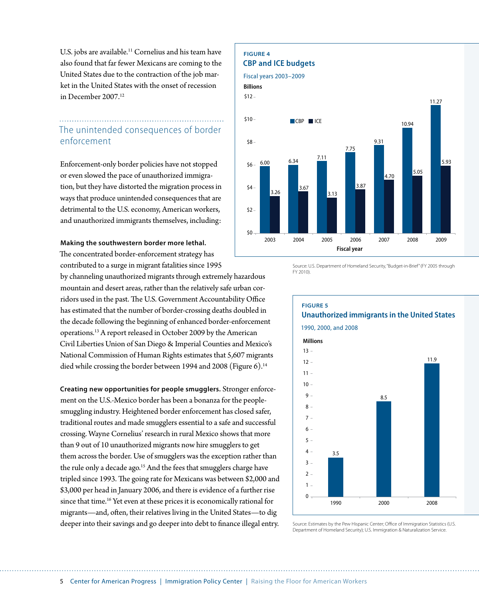U.S. jobs are available.<sup>11</sup> Cornelius and his team have also found that far fewer Mexicans are coming to the United States due to the contraction of the job market in the United States with the onset of recession in December 2007.12

### The unintended consequences of border enforcement

Enforcement-only border policies have not stopped or even slowed the pace of unauthorized immigration, but they have distorted the migration process in ways that produce unintended consequences that are detrimental to the U.S. economy, American workers, and unauthorized immigrants themselves, including:

#### **Making the southwestern border more lethal.**

The concentrated border-enforcement strategy has contributed to a surge in migrant fatalities since 1995

by channeling unauthorized migrants through extremely hazardous mountain and desert areas, rather than the relatively safe urban corridors used in the past. The U.S. Government Accountability Office has estimated that the number of border-crossing deaths doubled in the decade following the beginning of enhanced border-enforcement operations.13 A report released in October 2009 by the American Civil Liberties Union of San Diego & Imperial Counties and Mexico's National Commission of Human Rights estimates that 5,607 migrants died while crossing the border between 1994 and 2008 (Figure 6).<sup>14</sup>

**Creating new opportunities for people smugglers.** Stronger enforcement on the U.S.-Mexico border has been a bonanza for the peoplesmuggling industry. Heightened border enforcement has closed safer, traditional routes and made smugglers essential to a safe and successful crossing. Wayne Cornelius' research in rural Mexico shows that more than 9 out of 10 unauthorized migrants now hire smugglers to get them across the border. Use of smugglers was the exception rather than the rule only a decade ago.<sup>15</sup> And the fees that smugglers charge have tripled since 1993. The going rate for Mexicans was between \$2,000 and \$3,000 per head in January 2006, and there is evidence of a further rise since that time.<sup>16</sup> Yet even at these prices it is economically rational for migrants—and, often, their relatives living in the United States—to dig deeper into their savings and go deeper into debt to finance illegal entry.

#### **Figure 4 CBP and ICE budgets**

#### Fiscal years 2003–2009







Source: U.S. Department of Homeland Security, "Budget-in-Brief" (FY 2005 through FY 2010).



1990, 2000, and 2008



Source: Estimates by the Pew Hispanic Center; Office of Immigration Statistics (U.S. Department of Homeland Security); U.S. Immigration & Naturalization Service.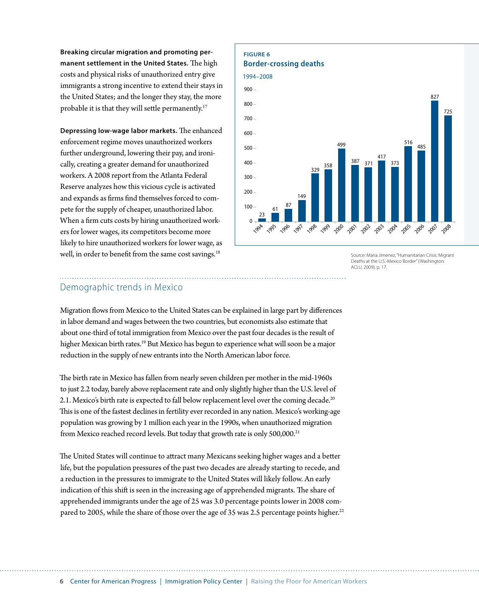**Breaking circular migration and promoting permanent settlement in the United States.** The high costs and physical risks of unauthorized entry give immigrants a strong incentive to extend their stays in the United States; and the longer they stay, the more probable it is that they will settle permanently.<sup>17</sup>

**Depressing low-wage labor markets.** The enhanced enforcement regime moves unauthorized workers further underground, lowering their pay, and ironically, creating a greater demand for unauthorized workers. A 2008 report from the Atlanta Federal Reserve analyzes how this vicious cycle is activated and expands as firms find themselves forced to compete for the supply of cheaper, unauthorized labor. When a firm cuts costs by hiring unauthorized workers for lower wages, its competitors become more likely to hire unauthorized workers for lower wage, as well, in order to benefit from the same cost savings.<sup>18</sup>

## **Figure 6**





Source: Maria Jimenez, "Humanitarian Crisis: Migrant Deaths at the U.S.-Mexico Border" (Washington: ACLU, 2009), p. 17.

### Demographic trends in Mexico

Migration flows from Mexico to the United States can be explained in large part by differences in labor demand and wages between the two countries, but economists also estimate that about one-third of total immigration from Mexico over the past four decades is the result of higher Mexican birth rates.<sup>19</sup> But Mexico has begun to experience what will soon be a major reduction in the supply of new entrants into the North American labor force.

The birth rate in Mexico has fallen from nearly seven children per mother in the mid-1960s to just 2.2 today, barely above replacement rate and only slightly higher than the U.S. level of 2.1. Mexico's birth rate is expected to fall below replacement level over the coming decade.<sup>20</sup> This is one of the fastest declines in fertility ever recorded in any nation. Mexico's working-age population was growing by 1 million each year in the 1990s, when unauthorized migration from Mexico reached record levels. But today that growth rate is only 500,000.<sup>21</sup>

The United States will continue to attract many Mexicans seeking higher wages and a better life, but the population pressures of the past two decades are already starting to recede, and a reduction in the pressures to immigrate to the United States will likely follow. An early indication of this shift is seen in the increasing age of apprehended migrants. The share of apprehended immigrants under the age of 25 was 3.0 percentage points lower in 2008 compared to 2005, while the share of those over the age of 35 was 2.5 percentage points higher.<sup>22</sup>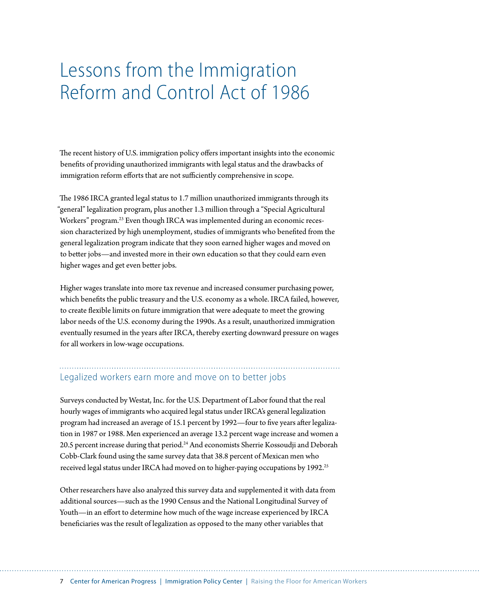# Lessons from the Immigration Reform and Control Act of 1986

The recent history of U.S. immigration policy offers important insights into the economic benefits of providing unauthorized immigrants with legal status and the drawbacks of immigration reform efforts that are not sufficiently comprehensive in scope.

The 1986 IRCA granted legal status to 1.7 million unauthorized immigrants through its "general" legalization program, plus another 1.3 million through a "Special Agricultural Workers" program.23 Even though IRCA was implemented during an economic recession characterized by high unemployment, studies of immigrants who benefited from the general legalization program indicate that they soon earned higher wages and moved on to better jobs—and invested more in their own education so that they could earn even higher wages and get even better jobs.

Higher wages translate into more tax revenue and increased consumer purchasing power, which benefits the public treasury and the U.S. economy as a whole. IRCA failed, however, to create flexible limits on future immigration that were adequate to meet the growing labor needs of the U.S. economy during the 1990s. As a result, unauthorized immigration eventually resumed in the years after IRCA, thereby exerting downward pressure on wages for all workers in low-wage occupations.

### Legalized workers earn more and move on to better jobs

Surveys conducted by Westat, Inc. for the U.S. Department of Labor found that the real hourly wages of immigrants who acquired legal status under IRCA's general legalization program had increased an average of 15.1 percent by 1992—four to five years after legalization in 1987 or 1988. Men experienced an average 13.2 percent wage increase and women a 20.5 percent increase during that period.<sup>24</sup> And economists Sherrie Kossoudji and Deborah Cobb-Clark found using the same survey data that 38.8 percent of Mexican men who received legal status under IRCA had moved on to higher-paying occupations by 1992.<sup>25</sup>

Other researchers have also analyzed this survey data and supplemented it with data from additional sources—such as the 1990 Census and the National Longitudinal Survey of Youth—in an effort to determine how much of the wage increase experienced by IRCA beneficiaries was the result of legalization as opposed to the many other variables that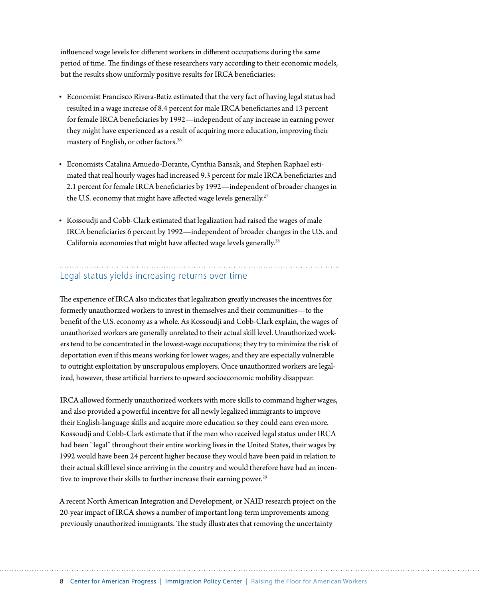influenced wage levels for different workers in different occupations during the same period of time. The findings of these researchers vary according to their economic models, but the results show uniformly positive results for IRCA beneficiaries:

- • Economist Francisco Rivera-Batiz estimated that the very fact of having legal status had resulted in a wage increase of 8.4 percent for male IRCA beneficiaries and 13 percent for female IRCA beneficiaries by 1992—independent of any increase in earning power they might have experienced as a result of acquiring more education, improving their mastery of English, or other factors.26
- • Economists Catalina Amuedo-Dorante, Cynthia Bansak, and Stephen Raphael estimated that real hourly wages had increased 9.3 percent for male IRCA beneficiaries and 2.1 percent for female IRCA beneficiaries by 1992—independent of broader changes in the U.S. economy that might have affected wage levels generally.<sup>27</sup>
- Kossoudji and Cobb-Clark estimated that legalization had raised the wages of male IRCA beneficiaries 6 percent by 1992—independent of broader changes in the U.S. and California economies that might have affected wage levels generally.<sup>28</sup>

### Legal status yields increasing returns over time

The experience of IRCA also indicates that legalization greatly increases the incentives for formerly unauthorized workers to invest in themselves and their communities—to the benefit of the U.S. economy as a whole. As Kossoudji and Cobb-Clark explain, the wages of unauthorized workers are generally unrelated to their actual skill level. Unauthorized workers tend to be concentrated in the lowest-wage occupations; they try to minimize the risk of deportation even if this means working for lower wages; and they are especially vulnerable to outright exploitation by unscrupulous employers. Once unauthorized workers are legalized, however, these artificial barriers to upward socioeconomic mobility disappear.

IRCA allowed formerly unauthorized workers with more skills to command higher wages, and also provided a powerful incentive for all newly legalized immigrants to improve their English-language skills and acquire more education so they could earn even more. Kossoudji and Cobb-Clark estimate that if the men who received legal status under IRCA had been "legal" throughout their entire working lives in the United States, their wages by 1992 would have been 24 percent higher because they would have been paid in relation to their actual skill level since arriving in the country and would therefore have had an incentive to improve their skills to further increase their earning power.<sup>29</sup>

A recent North American Integration and Development, or NAID research project on the 20-year impact of IRCA shows a number of important long-term improvements among previously unauthorized immigrants. The study illustrates that removing the uncertainty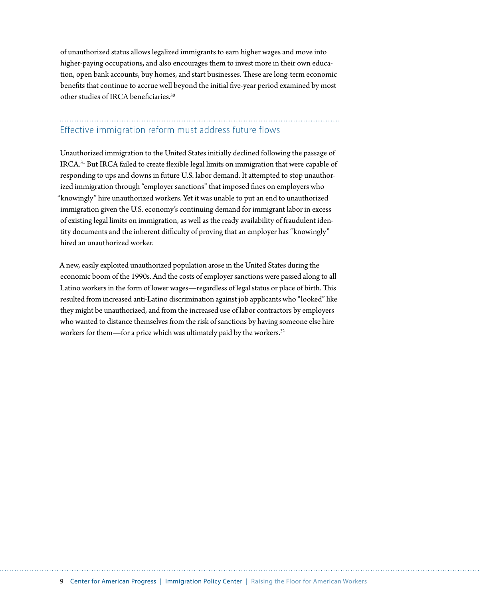of unauthorized status allows legalized immigrants to earn higher wages and move into higher-paying occupations, and also encourages them to invest more in their own education, open bank accounts, buy homes, and start businesses. These are long-term economic benefits that continue to accrue well beyond the initial five-year period examined by most other studies of IRCA beneficiaries.30

#### Effective immigration reform must address future flows

Unauthorized immigration to the United States initially declined following the passage of IRCA.31 But IRCA failed to create flexible legal limits on immigration that were capable of responding to ups and downs in future U.S. labor demand. It attempted to stop unauthorized immigration through "employer sanctions" that imposed fines on employers who "knowingly" hire unauthorized workers. Yet it was unable to put an end to unauthorized immigration given the U.S. economy's continuing demand for immigrant labor in excess of existing legal limits on immigration, as well as the ready availability of fraudulent identity documents and the inherent difficulty of proving that an employer has "knowingly" hired an unauthorized worker.

A new, easily exploited unauthorized population arose in the United States during the economic boom of the 1990s. And the costs of employer sanctions were passed along to all Latino workers in the form of lower wages—regardless of legal status or place of birth. This resulted from increased anti-Latino discrimination against job applicants who "looked" like they might be unauthorized, and from the increased use of labor contractors by employers who wanted to distance themselves from the risk of sanctions by having someone else hire workers for them—for a price which was ultimately paid by the workers.<sup>32</sup>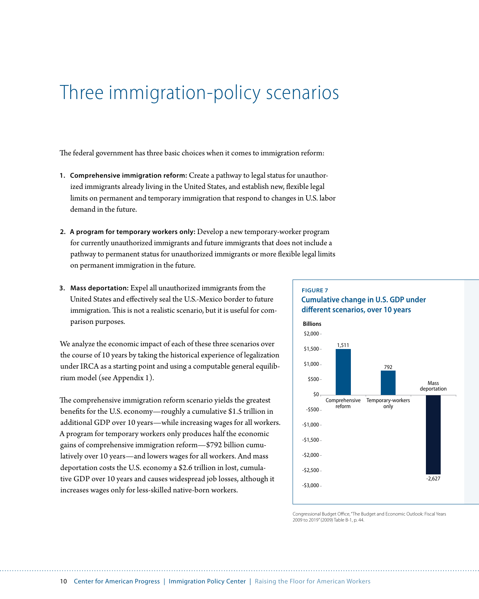# Three immigration-policy scenarios

The federal government has three basic choices when it comes to immigration reform:

- **1. Comprehensive immigration reform:** Create a pathway to legal status for unauthorized immigrants already living in the United States, and establish new, flexible legal limits on permanent and temporary immigration that respond to changes in U.S. labor demand in the future.
- **2. A program for temporary workers only:** Develop a new temporary-worker program for currently unauthorized immigrants and future immigrants that does not include a pathway to permanent status for unauthorized immigrants or more flexible legal limits on permanent immigration in the future.
- **3. Mass deportation:** Expel all unauthorized immigrants from the United States and effectively seal the U.S.-Mexico border to future immigration. This is not a realistic scenario, but it is useful for comparison purposes.

We analyze the economic impact of each of these three scenarios over the course of 10 years by taking the historical experience of legalization under IRCA as a starting point and using a computable general equilibrium model (see Appendix 1).

The comprehensive immigration reform scenario yields the greatest benefits for the U.S. economy—roughly a cumulative \$1.5 trillion in additional GDP over 10 years—while increasing wages for all workers. A program for temporary workers only produces half the economic gains of comprehensive immigration reform—\$792 billion cumulatively over 10 years—and lowers wages for all workers. And mass deportation costs the U.S. economy a \$2.6 trillion in lost, cumulative GDP over 10 years and causes widespread job losses, although it increases wages only for less-skilled native-born workers.

#### **Figure 7 Cumulative change in U.S. GDP under different scenarios, over 10 years**



Congressional Budget Office, "The Budget and Economic Outlook: Fiscal Years 2009 to 2019" (2009) Table B-1, p. 44.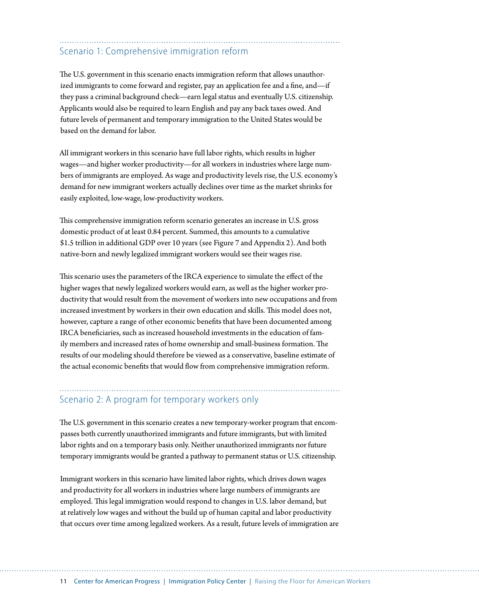## Scenario 1: Comprehensive immigration reform

The U.S. government in this scenario enacts immigration reform that allows unauthorized immigrants to come forward and register, pay an application fee and a fine, and—if they pass a criminal background check—earn legal status and eventually U.S. citizenship. Applicants would also be required to learn English and pay any back taxes owed. And future levels of permanent and temporary immigration to the United States would be based on the demand for labor.

All immigrant workers in this scenario have full labor rights, which results in higher wages—and higher worker productivity—for all workers in industries where large numbers of immigrants are employed. As wage and productivity levels rise, the U.S. economy's demand for new immigrant workers actually declines over time as the market shrinks for easily exploited, low-wage, low-productivity workers.

This comprehensive immigration reform scenario generates an increase in U.S. gross domestic product of at least 0.84 percent. Summed, this amounts to a cumulative \$1.5 trillion in additional GDP over 10 years (see Figure 7 and Appendix 2). And both native-born and newly legalized immigrant workers would see their wages rise.

This scenario uses the parameters of the IRCA experience to simulate the effect of the higher wages that newly legalized workers would earn, as well as the higher worker productivity that would result from the movement of workers into new occupations and from increased investment by workers in their own education and skills. This model does not, however, capture a range of other economic benefits that have been documented among IRCA beneficiaries, such as increased household investments in the education of family members and increased rates of home ownership and small-business formation. The results of our modeling should therefore be viewed as a conservative, baseline estimate of the actual economic benefits that would flow from comprehensive immigration reform.

## Scenario 2: A program for temporary workers only

The U.S. government in this scenario creates a new temporary-worker program that encompasses both currently unauthorized immigrants and future immigrants, but with limited labor rights and on a temporary basis only. Neither unauthorized immigrants nor future temporary immigrants would be granted a pathway to permanent status or U.S. citizenship.

Immigrant workers in this scenario have limited labor rights, which drives down wages and productivity for all workers in industries where large numbers of immigrants are employed. This legal immigration would respond to changes in U.S. labor demand, but at relatively low wages and without the build up of human capital and labor productivity that occurs over time among legalized workers. As a result, future levels of immigration are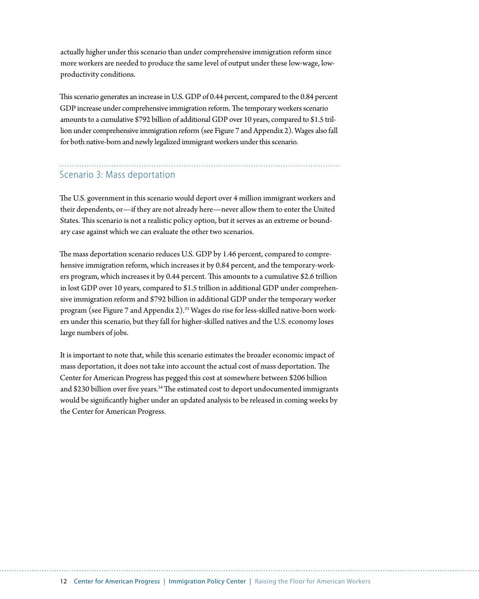actually higher under this scenario than under comprehensive immigration reform since more workers are needed to produce the same level of output under these low-wage, lowproductivity conditions.

This scenario generates an increase in U.S. GDP of 0.44 percent, compared to the 0.84 percent GDP increase under comprehensive immigration reform. The temporary workers scenario amounts to a cumulative \$792 billion of additional GDP over 10 years, compared to \$1.5 trillion under comprehensive immigration reform (see Figure 7 and Appendix 2). Wages also fall for both native-born and newly legalized immigrant workers under this scenario.

### Scenario 3: Mass deportation

The U.S. government in this scenario would deport over 4 million immigrant workers and their dependents, or—if they are not already here—never allow them to enter the United States. This scenario is not a realistic policy option, but it serves as an extreme or boundary case against which we can evaluate the other two scenarios.

The mass deportation scenario reduces U.S. GDP by 1.46 percent, compared to comprehensive immigration reform, which increases it by 0.84 percent, and the temporary-workers program, which increases it by 0.44 percent. This amounts to a cumulative \$2.6 trillion in lost GDP over 10 years, compared to \$1.5 trillion in additional GDP under comprehensive immigration reform and \$792 billion in additional GDP under the temporary worker program (see Figure 7 and Appendix 2).<sup>33</sup> Wages do rise for less-skilled native-born workers under this scenario, but they fall for higher-skilled natives and the U.S. economy loses large numbers of jobs.

It is important to note that, while this scenario estimates the broader economic impact of mass deportation, it does not take into account the actual cost of mass deportation. The Center for American Progress has pegged this cost at somewhere between \$206 billion and \$230 billion over five years.<sup>34</sup> The estimated cost to deport undocumented immigrants would be significantly higher under an updated analysis to be released in coming weeks by the Center for American Progress.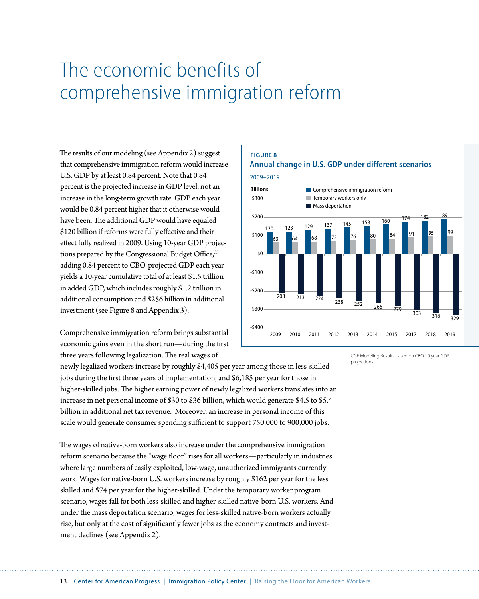# The economic benefits of comprehensive immigration reform

The results of our modeling (see Appendix 2) suggest that comprehensive immigration reform would increase U.S. GDP by at least 0.84 percent. Note that 0.84 percent is the projected increase in GDP level, not an increase in the long-term growth rate. GDP each year would be 0.84 percent higher that it otherwise would have been. The additional GDP would have equaled \$120 billion if reforms were fully effective and their effect fully realized in 2009. Using 10-year GDP projections prepared by the Congressional Budget Office,<sup>35</sup> adding 0.84 percent to CBO-projected GDP each year yields a 10-year cumulative total of at least \$1.5 trillion in added GDP, which includes roughly \$1.2 trillion in additional consumption and \$256 billion in additional investment (see Figure 8 and Appendix 3).

Comprehensive immigration reform brings substantial economic gains even in the short run—during the first three years following legalization. The real wages of

#### **Figure 8 Annual change in U.S. GDP under different scenarios**

2009–2019



CGE Modeling Results based on CBO 10-year GDP projections.

newly legalized workers increase by roughly \$4,405 per year among those in less-skilled jobs during the first three years of implementation, and \$6,185 per year for those in higher-skilled jobs. The higher earning power of newly legalized workers translates into an increase in net personal income of \$30 to \$36 billion, which would generate \$4.5 to \$5.4 billion in additional net tax revenue. Moreover, an increase in personal income of this scale would generate consumer spending sufficient to support 750,000 to 900,000 jobs.

The wages of native-born workers also increase under the comprehensive immigration reform scenario because the "wage floor" rises for all workers—particularly in industries where large numbers of easily exploited, low-wage, unauthorized immigrants currently work. Wages for native-born U.S. workers increase by roughly \$162 per year for the less skilled and \$74 per year for the higher-skilled. Under the temporary worker program scenario, wages fall for both less-skilled and higher-skilled native-born U.S. workers. And under the mass deportation scenario, wages for less-skilled native-born workers actually rise, but only at the cost of significantly fewer jobs as the economy contracts and investment declines (see Appendix 2).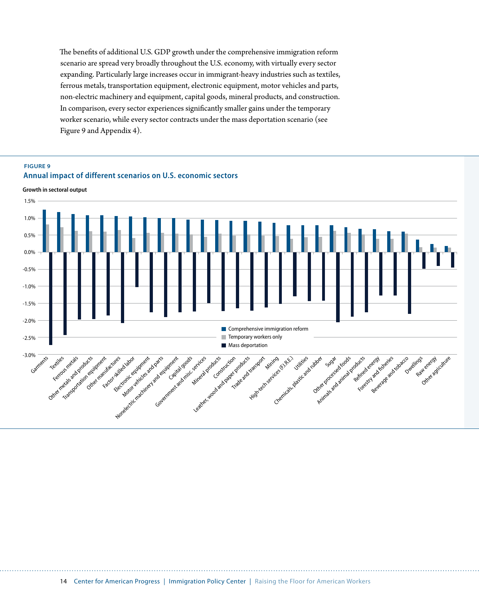The benefits of additional U.S. GDP growth under the comprehensive immigration reform scenario are spread very broadly throughout the U.S. economy, with virtually every sector expanding. Particularly large increases occur in immigrant-heavy industries such as textiles, ferrous metals, transportation equipment, electronic equipment, motor vehicles and parts, non-electric machinery and equipment, capital goods, mineral products, and construction. In comparison, every sector experiences significantly smaller gains under the temporary worker scenario, while every sector contracts under the mass deportation scenario (see Figure 9 and Appendix 4).

### **Figure 9 Annual impact of different scenarios on U.S. economic sectors**

**Growth in sectoral output**

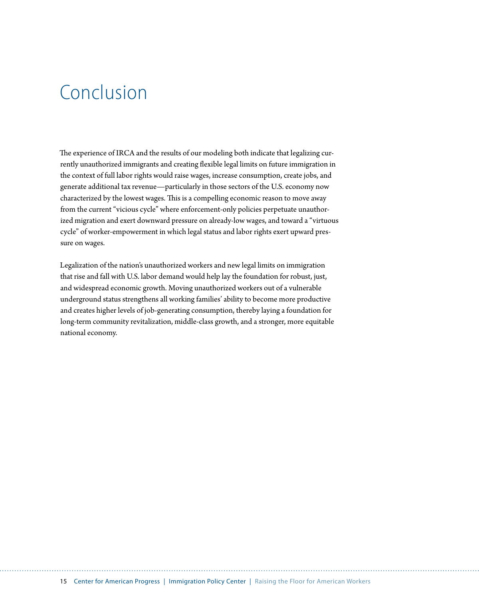# Conclusion

The experience of IRCA and the results of our modeling both indicate that legalizing currently unauthorized immigrants and creating flexible legal limits on future immigration in the context of full labor rights would raise wages, increase consumption, create jobs, and generate additional tax revenue—particularly in those sectors of the U.S. economy now characterized by the lowest wages. This is a compelling economic reason to move away from the current "vicious cycle" where enforcement-only policies perpetuate unauthorized migration and exert downward pressure on already-low wages, and toward a "virtuous cycle" of worker-empowerment in which legal status and labor rights exert upward pressure on wages.

Legalization of the nation's unauthorized workers and new legal limits on immigration that rise and fall with U.S. labor demand would help lay the foundation for robust, just, and widespread economic growth. Moving unauthorized workers out of a vulnerable underground status strengthens all working families' ability to become more productive and creates higher levels of job-generating consumption, thereby laying a foundation for long-term community revitalization, middle-class growth, and a stronger, more equitable national economy.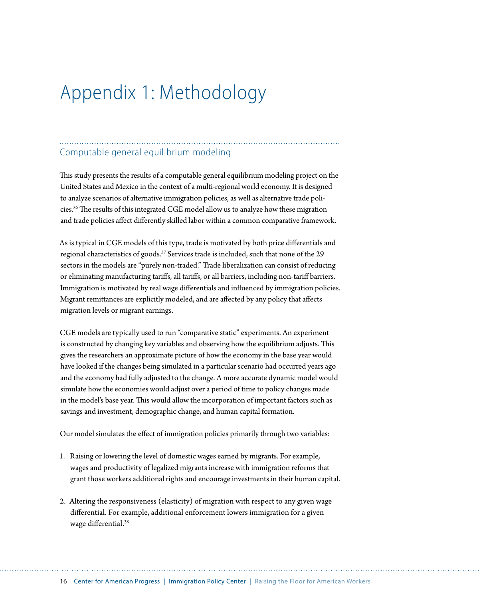# Appendix 1: Methodology

### Computable general equilibrium modeling

This study presents the results of a computable general equilibrium modeling project on the United States and Mexico in the context of a multi-regional world economy. It is designed to analyze scenarios of alternative immigration policies, as well as alternative trade policies.36 The results of this integrated CGE model allow us to analyze how these migration and trade policies affect differently skilled labor within a common comparative framework.

As is typical in CGE models of this type, trade is motivated by both price differentials and regional characteristics of goods.<sup>37</sup> Services trade is included, such that none of the 29 sectors in the models are "purely non-traded." Trade liberalization can consist of reducing or eliminating manufacturing tariffs, all tariffs, or all barriers, including non-tariff barriers. Immigration is motivated by real wage differentials and influenced by immigration policies. Migrant remittances are explicitly modeled, and are affected by any policy that affects migration levels or migrant earnings.

CGE models are typically used to run "comparative static" experiments. An experiment is constructed by changing key variables and observing how the equilibrium adjusts. This gives the researchers an approximate picture of how the economy in the base year would have looked if the changes being simulated in a particular scenario had occurred years ago and the economy had fully adjusted to the change. A more accurate dynamic model would simulate how the economies would adjust over a period of time to policy changes made in the model's base year. This would allow the incorporation of important factors such as savings and investment, demographic change, and human capital formation.

Our model simulates the effect of immigration policies primarily through two variables:

- 1. Raising or lowering the level of domestic wages earned by migrants. For example, wages and productivity of legalized migrants increase with immigration reforms that grant those workers additional rights and encourage investments in their human capital.
- 2. Altering the responsiveness (elasticity) of migration with respect to any given wage differential. For example, additional enforcement lowers immigration for a given wage differential.<sup>38</sup>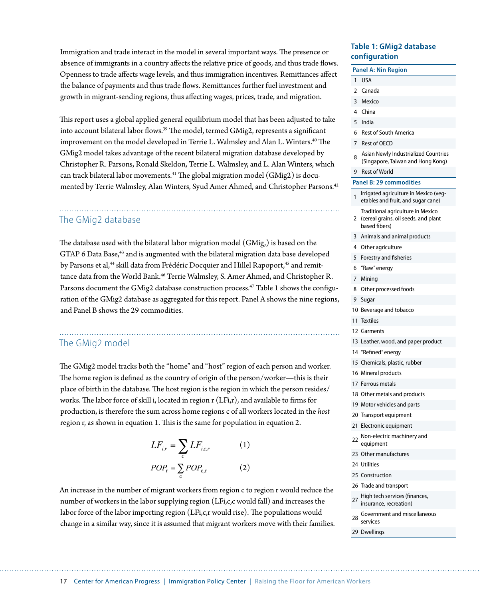Immigration and trade interact in the model in several important ways. The presence or absence of immigrants in a country affects the relative price of goods, and thus trade flows. Openness to trade affects wage levels, and thus immigration incentives. Remittances affect the balance of payments and thus trade flows. Remittances further fuel investment and growth in migrant-sending regions, thus affecting wages, prices, trade, and migration.

This report uses a global applied general equilibrium model that has been adjusted to take into account bilateral labor flows.<sup>39</sup> The model, termed GMig2, represents a significant improvement on the model developed in Terrie L. Walmsley and Alan L. Winters.<sup>40</sup> The GMig2 model takes advantage of the recent bilateral migration database developed by Christopher R. Parsons, Ronald Skeldon, Terrie L. Walmsley, and L. Alan Winters, which can track bilateral labor movements.41 The global migration model (GMig2) is documented by Terrie Walmsley, Alan Winters, Syud Amer Ahmed, and Christopher Parsons.42

### The GMig2 database

The database used with the bilateral labor migration model (GMig,) is based on the GTAP 6 Data Base,<sup>43</sup> and is augmented with the bilateral migration data base developed by Parsons et al,<sup>44</sup> skill data from Frédéric Docquier and Hillel Rapoport,<sup>45</sup> and remittance data from the World Bank.46 Terrie Walmsley, S. Amer Ahmed, and Christopher R. Parsons document the GMig2 database construction process.<sup>47</sup> Table 1 shows the configuration of the GMig2 database as aggregated for this report. Panel A shows the nine regions, and Panel B shows the 29 commodities.

### The GMig2 model

The GMig2 model tracks both the "home" and "host" region of each person and worker. The home region is defined as the country of origin of the person/worker—this is their place of birth in the database. The host region is the region in which the person resides/ works. The labor force of skill i, located in region r (LFi,r), and available to firms for production, is therefore the sum across home regions c of all workers located in the *host* region r, as shown in equation 1. This is the same for population in equation 2.

$$
LF_{i,r} = \sum_{c} LF_{i,c,r}
$$
 (1)  

$$
POP_{r} = \sum_{c} POP_{c,r}
$$
 (2)

An increase in the number of migrant workers from region c to region r would reduce the number of workers in the labor supplying region (LFi,c,c would fall) and increases the labor force of the labor importing region (LFi,c,r would rise). The populations would change in a similar way, since it is assumed that migrant workers move with their families.

### **Table 1: GMig2 database configuration**

### **Panel A: Nin Region** 1 USA 2 Canada 3 Mexico 4 China

- 5 India
- 6 Rest of South America
- 7 Rest of OECD
- 8 Asian Newly Industrialized Countries (Singapore, Taiwan and Hong Kong)
- 9 Rest of World

#### **Panel B: 29 commodities**

- Irrigated agriculture in Mexico (vegetables and fruit, and sugar cane)
- 2 (cereal grains, oil seeds, and plant Traditional agriculture in Mexico based fibers)
- 3 Animals and animal products
- 4 Other agriculture
- 5 Forestry and fisheries
- 6 "Raw" energy
- 7 Mining
- 8 Other processed foods
- 9 Sugar
- 10 Beverage and tobacco
- 11 Textiles
- 12 Garments
- 13 Leather, wood, and paper product
- 14 "Refined" energy
- 15 Chemicals, plastic, rubber
- 16 Mineral products
- 17 Ferrous metals
- 18 Other metals and products
- 19 Motor vehicles and parts
- 20 Transport equipment
- 21 Electronic equipment
- 22 Non-electric machinery and equipment
- 23 Other manufactures
- 24 Utilities
- 25 Construction
- 26 Trade and transport
- 27 High tech services (finances, insurance, recreation)
- 28 Government and miscellaneous services
- 29 Dwellings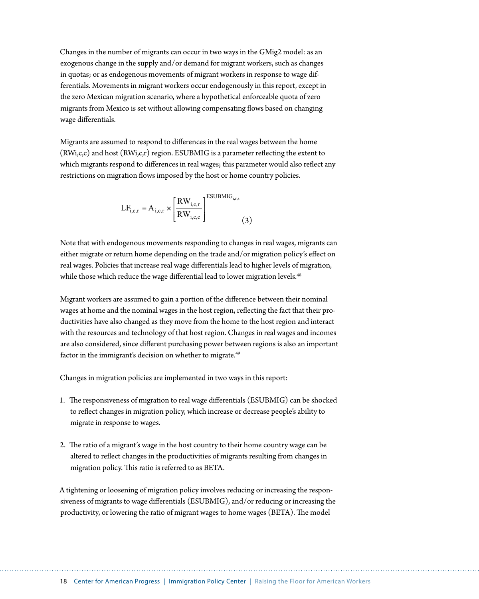Changes in the number of migrants can occur in two ways in the GMig2 model: as an exogenous change in the supply and/or demand for migrant workers, such as changes in quotas; or as endogenous movements of migrant workers in response to wage differentials. Movements in migrant workers occur endogenously in this report, except in the zero Mexican migration scenario, where a hypothetical enforceable quota of zero migrants from Mexico is set without allowing compensating flows based on changing wage differentials.

Migrants are assumed to respond to differences in the real wages between the home (RWi,c,c) and host (RWi,c,r) region. ESUBMIG is a parameter reflecting the extent to which migrants respond to differences in real wages; this parameter would also reflect any restrictions on migration flows imposed by the host or home country policies.

$$
LF_{i,c,r} = A_{i,c,r} \times \left[\frac{RW_{i,c,r}}{RW_{i,c,c}}\right]^{\text{ESUBMIG}_{i,r,s}} \tag{3}
$$

Note that with endogenous movements responding to changes in real wages, migrants can either migrate or return home depending on the trade and/or migration policy's effect on real wages. Policies that increase real wage differentials lead to higher levels of migration, while those which reduce the wage differential lead to lower migration levels.<sup>48</sup>

Migrant workers are assumed to gain a portion of the difference between their nominal wages at home and the nominal wages in the host region, reflecting the fact that their productivities have also changed as they move from the home to the host region and interact with the resources and technology of that host region. Changes in real wages and incomes are also considered, since different purchasing power between regions is also an important factor in the immigrant's decision on whether to migrate.<sup>49</sup>

Changes in migration policies are implemented in two ways in this report:

- 1. The responsiveness of migration to real wage differentials (ESUBMIG) can be shocked to reflect changes in migration policy, which increase or decrease people's ability to migrate in response to wages.
- 2. The ratio of a migrant's wage in the host country to their home country wage can be altered to reflect changes in the productivities of migrants resulting from changes in migration policy. This ratio is referred to as BETA.

A tightening or loosening of migration policy involves reducing or increasing the responsiveness of migrants to wage differentials (ESUBMIG), and/or reducing or increasing the productivity, or lowering the ratio of migrant wages to home wages (BETA). The model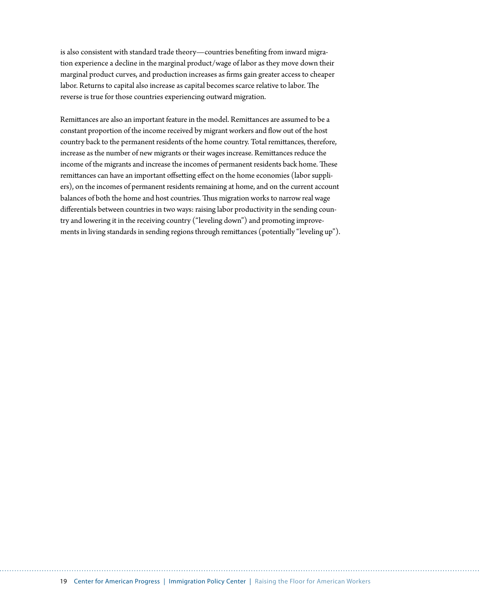is also consistent with standard trade theory—countries benefiting from inward migration experience a decline in the marginal product/wage of labor as they move down their marginal product curves, and production increases as firms gain greater access to cheaper labor. Returns to capital also increase as capital becomes scarce relative to labor. The reverse is true for those countries experiencing outward migration.

Remittances are also an important feature in the model. Remittances are assumed to be a constant proportion of the income received by migrant workers and flow out of the host country back to the permanent residents of the home country. Total remittances, therefore, increase as the number of new migrants or their wages increase. Remittances reduce the income of the migrants and increase the incomes of permanent residents back home. These remittances can have an important offsetting effect on the home economies (labor suppliers), on the incomes of permanent residents remaining at home, and on the current account balances of both the home and host countries. Thus migration works to narrow real wage differentials between countries in two ways: raising labor productivity in the sending country and lowering it in the receiving country ("leveling down") and promoting improvements in living standards in sending regions through remittances (potentially "leveling up").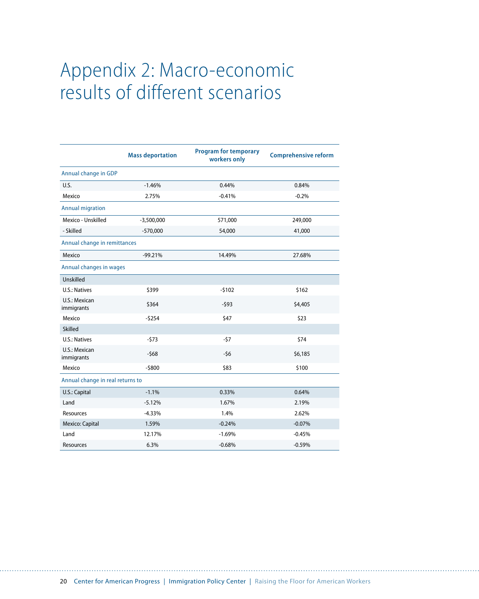# Appendix 2: Macro-economic results of different scenarios

|                                  | <b>Mass deportation</b> | <b>Program for temporary</b><br>workers only | <b>Comprehensive reform</b> |  |  |
|----------------------------------|-------------------------|----------------------------------------------|-----------------------------|--|--|
| Annual change in GDP             |                         |                                              |                             |  |  |
| U.S.                             | $-1.46%$                | 0.44%                                        | 0.84%                       |  |  |
| Mexico                           | 2.75%                   | $-0.41%$                                     | $-0.2%$                     |  |  |
| <b>Annual migration</b>          |                         |                                              |                             |  |  |
| Mexico - Unskilled               | $-3,500,000$            | 571,000                                      | 249,000                     |  |  |
| - Skilled                        | $-570,000$              | 54,000                                       | 41,000                      |  |  |
| Annual change in remittances     |                         |                                              |                             |  |  |
| Mexico                           | $-99.21%$               | 14.49%                                       | 27.68%                      |  |  |
| Annual changes in wages          |                         |                                              |                             |  |  |
| Unskilled                        |                         |                                              |                             |  |  |
| U.S.: Natives                    | \$399                   | $-5102$                                      | \$162                       |  |  |
| U.S.: Mexican<br>immigrants      | \$364                   | $-593$                                       | \$4,405                     |  |  |
| Mexico                           | $-5254$                 | \$47                                         | \$23                        |  |  |
| Skilled                          |                         |                                              |                             |  |  |
| U.S.: Natives                    | $-573$                  | $-57$                                        | \$74                        |  |  |
| U.S.: Mexican<br>immigrants      | $-568$                  | $-56$                                        | \$6,185                     |  |  |
| Mexico                           | $-5800$                 | \$83                                         | \$100                       |  |  |
| Annual change in real returns to |                         |                                              |                             |  |  |
| U.S.: Capital                    | $-1.1%$                 | 0.33%                                        | 0.64%                       |  |  |
| Land                             | $-5.12%$                | 1.67%                                        | 2.19%                       |  |  |
| Resources                        | $-4.33%$                | 1.4%                                         | 2.62%                       |  |  |
| Mexico: Capital                  | 1.59%                   | $-0.24%$                                     | $-0.07%$                    |  |  |
| Land                             | 12.17%                  | $-1.69%$                                     | $-0.45%$                    |  |  |
| Resources                        | 6.3%                    | $-0.68%$                                     | $-0.59%$                    |  |  |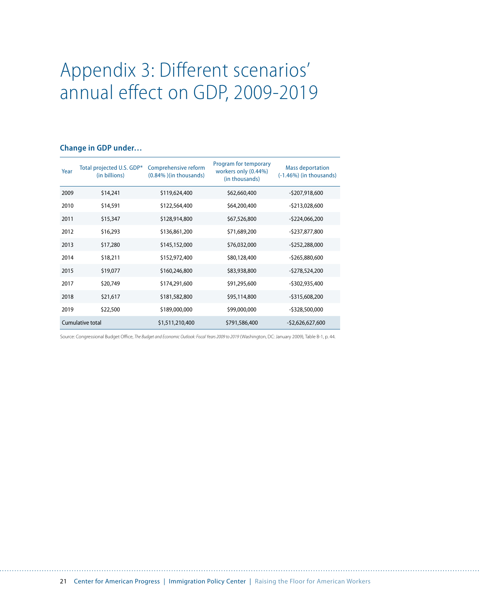# Appendix 3: Different scenarios' annual effect on GDP, 2009-2019

#### **Change in GDP under…**

| Year | Total projected U.S. GDP*<br>(in billions) | Comprehensive reform<br>(0.84%) (in thousands) | Program for temporary<br>workers only (0.44%)<br>(in thousands) | <b>Mass deportation</b><br>$(-1.46%)$ (in thousands) |
|------|--------------------------------------------|------------------------------------------------|-----------------------------------------------------------------|------------------------------------------------------|
| 2009 | \$14,241                                   | \$119,624,400                                  | \$62,660,400                                                    | -\$207,918,600                                       |
| 2010 | \$14,591                                   | \$122,564,400                                  | \$64,200,400                                                    | -\$213,028,600                                       |
| 2011 | \$15,347                                   | \$128,914,800                                  | \$67,526,800                                                    | $-$ \$224,066,200                                    |
| 2012 | \$16,293                                   | \$136,861,200                                  | \$71,689,200                                                    | -\$237,877,800                                       |
| 2013 | \$17,280                                   | \$145,152,000                                  | \$76,032,000                                                    | $-5252,288,000$                                      |
| 2014 | \$18,211                                   | \$152,972,400                                  | \$80,128,400                                                    | $-5265,880,600$                                      |
| 2015 | \$19,077                                   | \$160,246,800                                  | \$83,938,800                                                    | -\$278,524,200                                       |
| 2017 | \$20,749                                   | \$174,291,600                                  | \$91,295,600                                                    | -\$302,935,400                                       |
| 2018 | \$21,617                                   | \$181,582,800                                  | \$95,114,800                                                    | $-5315,608,200$                                      |
| 2019 | \$22,500                                   | \$189,000,000                                  | \$99,000,000                                                    | -\$328,500,000                                       |
|      | Cumulative total                           | \$1,511,210,400                                | \$791,586,400                                                   | $-52,626,627,600$                                    |

Source: Congressional Budget Office, *The Bu[dget and Economic Outlook: Fiscal Years 2009 to 2019](http://www.cbo.gov/ftpdocs/99xx/doc9957/01-07-Outlook.pdf#page=52)* (Washington, DC: January 2009), Table B-1, p. 44.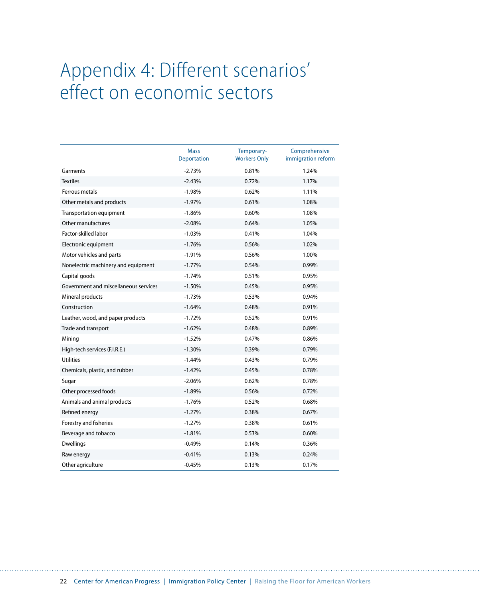# Appendix 4: Different scenarios' effect on economic sectors

|                                       | <b>Mass</b><br><b>Deportation</b> | Temporary-<br><b>Workers Only</b> | Comprehensive<br>immigration reform |
|---------------------------------------|-----------------------------------|-----------------------------------|-------------------------------------|
| Garments                              | $-2.73%$                          | 0.81%                             | 1.24%                               |
| <b>Textiles</b>                       | $-2.43%$                          | 0.72%                             | 1.17%                               |
| Ferrous metals                        | $-1.98%$                          | 0.62%                             | 1.11%                               |
| Other metals and products             | $-1.97%$                          | 0.61%                             | 1.08%                               |
| <b>Transportation equipment</b>       | $-1.86%$                          | 0.60%                             | 1.08%                               |
| Other manufactures                    | $-2.08%$                          | 0.64%                             | 1.05%                               |
| Factor-skilled labor                  | $-1.03%$                          | 0.41%                             | 1.04%                               |
| Electronic equipment                  | $-1.76%$                          | 0.56%                             | 1.02%                               |
| Motor vehicles and parts              | $-1.91%$                          | 0.56%                             | 1.00%                               |
| Nonelectric machinery and equipment   | $-1.77%$                          | 0.54%                             | 0.99%                               |
| Capital goods                         | $-1.74%$                          | 0.51%                             | 0.95%                               |
| Government and miscellaneous services | $-1.50%$                          | 0.45%                             | 0.95%                               |
| Mineral products                      | $-1.73%$                          | 0.53%                             | 0.94%                               |
| Construction                          | $-1.64%$                          | 0.48%                             | 0.91%                               |
| Leather, wood, and paper products     | $-1.72%$                          | 0.52%                             | 0.91%                               |
| Trade and transport                   | $-1.62%$                          | 0.48%                             | 0.89%                               |
| Mining                                | $-1.52%$                          | 0.47%                             | 0.86%                               |
| High-tech services (F.I.R.E.)         | $-1.30%$                          | 0.39%                             | 0.79%                               |
| <b>Utilities</b>                      | $-1.44%$                          | 0.43%                             | 0.79%                               |
| Chemicals, plastic, and rubber        | $-1.42%$                          | 0.45%                             | 0.78%                               |
| Sugar                                 | $-2.06%$                          | 0.62%                             | 0.78%                               |
| Other processed foods                 | $-1.89%$                          | 0.56%                             | 0.72%                               |
| Animals and animal products           | $-1.76%$                          | 0.52%                             | 0.68%                               |
| Refined energy                        | $-1.27%$                          | 0.38%                             | 0.67%                               |
| Forestry and fisheries                | $-1.27%$                          | 0.38%                             | 0.61%                               |
| Beverage and tobacco                  | $-1.81%$                          | 0.53%                             | 0.60%                               |
| <b>Dwellings</b>                      | $-0.49%$                          | 0.14%                             | 0.36%                               |
| Raw energy                            | $-0.41%$                          | 0.13%                             | 0.24%                               |
| Other agriculture                     | $-0.45%$                          | 0.13%                             | 0.17%                               |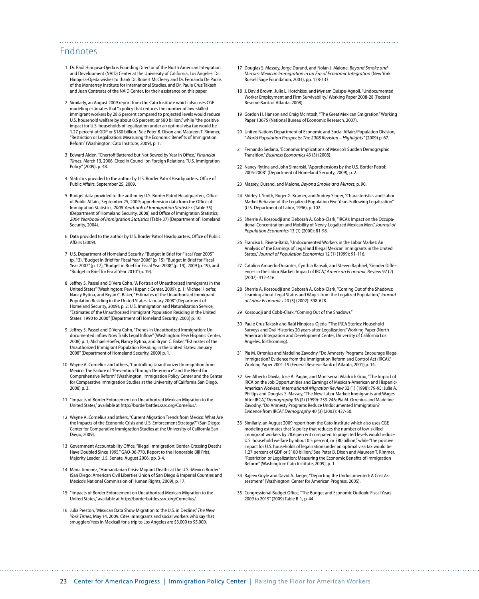### Endnotes

- 1 Dr. Raúl Hinojosa-Ojeda is Founding Director of the North [American Integration](http://naid.sppsr.ucla.edu/Home/Index.htm)  [and Development \(NAID\) Center at the](http://naid.sppsr.ucla.edu/Home/Index.htm) University of California, Los Angeles. Dr. Hinojosa-Ojeda wishes to thank Dr. Robert McCleery and Dr. Fernando De Paolis of the Monterrey Institute for International Studies, and Dr. Paule Cruz Takash and Juan Contreras of the NAID Center, for their assistance on this paper.
- 2 Similarly, an August 2009 report from the Cato Institute which also uses CGE modeling estimates that "a policy that reduces the number of low-skilled immigrant workers by 28.6 percent compared to projected levels would reduce U.S. household welfare by about 0.5 percent, or \$80 billion," while "the positive impact for U.S. households of legalization under an optimal visa tax would be 1.27 percent of GDP or \$180 billion." See Peter B. Dixon and Maureen T. Rimmer, "Restri[ction or Legalization: Measuring the Economic Benefits of Immigration](http://www.freetrade.org/files/pubs/pas/tpa-040.pdf#page=1)  [Reform" \(Wash](http://www.freetrade.org/files/pubs/pas/tpa-040.pdf#page=1)ington: Cato Institute, 2009), p. 1.
- 3 Edward Alden, "Chertoff Battered but Not Bowed by Year in Office," *Financial Times*, March 13, 2006. Cited in Council on Foreign Relations, "U.S. I[mmigration](http://www.cfr.org/content/publications/attachments/Immigration_TFR63.pdf)  [Policy" \(2009](http://www.cfr.org/content/publications/attachments/Immigration_TFR63.pdf)), p. 48.
- 4 Statistics provided to the author by U.S. Border Patrol Headquarters, Office of Public Affairs, September 25, 2009.
- 5 Budget data provided to the author by U.S. Border Patrol Headquarters, Office of Public Affairs, September 25, 2009; apprehension data from the Office of Immigration Statistics, *2008 Yearbook of Immigration Statistics* (Table [35\)](http://www.dhs.gov/xlibrary/assets/statistics/yearbook/2008/table35.xls)  [\(Dep](http://www.dhs.gov/xlibrary/assets/statistics/yearbook/2008/table35.xls)artment of Homeland Security, 2008) and Office of Immigration Statistics, *2004 Yearbook of Immigration Statistics* (Table [37\) \(Dep](http://www.dhs.gov/xlibrary/assets/statistics/yearbook/2004/Table37.xls)artment of Homeland Security, 2004).
- 6 Data provided to the author by U.S. Border Patrol Headquarters, Office of Public Affairs (2009).
- 7 U.S. Department of Homeland Security, "Budget in Brief for Fiscal Year 2005" (p. 13[\), "Bu](http://www.dhs.gov/xlibrary/assets/FY_2005_BIB_4.pdf#page=17)dget in Brief for Fiscal Year 2006" (p. 15)[, "Bu](http://www.dhs.gov/xlibrary/assets/Budget_BIB-FY2006.pdf#page=20)dget in Brief for Fiscal Year 2007" (p. 17[\), "Bu](http://www.dhs.gov/xlibrary/assets/Budget_BIB-FY2007.pdf#page=20)dget in Brief for Fiscal Year 2008" (p. 19[\), 200](http://www.dhs.gov/xlibrary/assets/budget_bib-fy2008.pdf#page=25)9 (p. 19[\), and](http://www.dhs.gov/xlibrary/assets/budget_bib-fy2009.pdf#page=27)  "Budget in Brief for Fiscal Year 2010" (p. 19)[.](http://borderbattles.ssrc.org/Cornelius/)
- 8 [Jeffrey S. Passel and D'Vera Cohn, "A Portrait of Unauthorized Immigrants in the](http://borderbattles.ssrc.org/Cornelius/)  [United States" \(Washington: Pew Hispanic Center, 2009\), p. 1; Michael Hoefer,](http://borderbattles.ssrc.org/Cornelius/)  [Nancy Rytina, and Bryan C. Baker, "Estimates of the Unauthorized Immigrant](http://borderbattles.ssrc.org/Cornelius/)  [Population Residing in the United States: January 2008" \(Department of](http://borderbattles.ssrc.org/Cornelius/)  [Homeland Security, 2009\), p. 2; U.S. Immigration and Naturalization Service](http://borderbattles.ssrc.org/Cornelius/)*,*  ["Estimates of the Unauthorized Immigrant Population Residing in the United](http://borderbattles.ssrc.org/Cornelius/)  [States: 1990 to 2000" \(Department of Homeland Security, 2003\) p. 10.](http://borderbattles.ssrc.org/Cornelius/)
- 9 [Jeffrey S. Passel and D'Vera Cohn, "Trends in Unauthorized Immigration: Un](http://borderbattles.ssrc.org/Cornelius/)[documented Inflow Now Trails Legal Inflow" \(Washington: Pew Hispanic Center,](http://borderbattles.ssrc.org/Cornelius/)  [2008\) p. 1; Michael Hoefer, Nancy Rytina, and Bryan C. Baker, "Estimates of the](http://borderbattles.ssrc.org/Cornelius/)  [Unauthorized Immigrant Population Residing in the United States: January](http://borderbattles.ssrc.org/Cornelius/)  [2008" \(Department of Homeland Security, 2009\) p. 1.](http://borderbattles.ssrc.org/Cornelius/)
- 10 [Wayne A. Cornelius and others, "Controlling Unauthorized Immigration from](http://borderbattles.ssrc.org/Cornelius/)  [Mexico: The Failure of "Prevention Through Deterrence" and the Need for](http://borderbattles.ssrc.org/Cornelius/)  [Comprehensive Reform" \(Washington: Immigration Policy Center and the Center](http://borderbattles.ssrc.org/Cornelius/)  [for Comparative Immigration Studies at the University of California San Diego,](http://borderbattles.ssrc.org/Cornelius/)  [2008\) p. 3.](http://borderbattles.ssrc.org/Cornelius/)
- 11 ["Impacts of Border Enforcement on Unauthorized Mexican Migration to the](http://borderbattles.ssrc.org/Cornelius/)  [United States," available at http://borderbattles.ssrc.org/Cornelius/.](http://borderbattles.ssrc.org/Cornelius/)
- 12 [Wayne A. Cornelius and others, "Current Migration Trends from Mexico: What Are](http://borderbattles.ssrc.org/Cornelius/) [the Impacts of the Economic Crisis and U.S. Enforcement Strategy?" \(San Diego:](http://borderbattles.ssrc.org/Cornelius/)  [Center for Comparative Immigration Studies at the University of California San](http://borderbattles.ssrc.org/Cornelius/)  [Diego, 2009\).](http://borderbattles.ssrc.org/Cornelius/)
- 13 [Government Accountability Office, "Illegal Immigration: Border-Crossing Deaths](http://borderbattles.ssrc.org/Cornelius/)  [Have Doubled Since 1995," GAO-06-770, Report to the Honorable Bill Frist,](http://borderbattles.ssrc.org/Cornelius/)  [Majority Leader, U.S. Senate, August 2006, pp. 3-4.](http://borderbattles.ssrc.org/Cornelius/)
- 14 [Maria Jimenez, "Humanitarian Crisis: Migrant Deaths at the U.S.-Mexico Border"](http://borderbattles.ssrc.org/Cornelius/)  [\(San Diego: American Civil Liberties Union of San Diego & Imperial Counties and](http://borderbattles.ssrc.org/Cornelius/)  [Mexico's National Commission of Human Rights, 2009\), p. 17.](http://borderbattles.ssrc.org/Cornelius/)
- 15 ["Impacts of Border Enforcement on Unauthorized Mexican Migration to the](http://borderbattles.ssrc.org/Cornelius/)  [United States," available at http://borderbattles.ssrc.org/Cornelius/.](http://borderbattles.ssrc.org/Cornelius/)
- 16 [Julia Preston, "Mexican Data Show Migration to the U.S. in Decline,"](http://borderbattles.ssrc.org/Cornelius/) *The New York Times*[, May 14, 2009. Cites immigrants and social workers who say that](http://borderbattles.ssrc.org/Cornelius/)  [smugglers' fees in Mexicali for a trip to Los Angeles are \\$3,000 to \\$5,000.](http://borderbattles.ssrc.org/Cornelius/)
- 17 [Douglas S. Massey, Jorge Durand, and Nolan J. Malone,](http://borderbattles.ssrc.org/Cornelius/) *Beyond Smoke and [Mirrors: Mexican Immigration in an Era of Economic Integration](http://borderbattles.ssrc.org/Cornelius/)* (New York: [Russell Sage Foundation, 2003\), pp. 128-133.](http://borderbattles.ssrc.org/Cornelius/)
- 18 [J. David Brown, Julie L. Hotchkiss, and Myriam Quispe-Agnoli, "Undocumented](http://borderbattles.ssrc.org/Cornelius/)  [Worker Employment and Firm Survivability." Working Paper 2008-28 \(Federal](http://borderbattles.ssrc.org/Cornelius/)  [Reserve Bank of Atlanta, 2008\).](http://borderbattles.ssrc.org/Cornelius/)
- 19 [Gordon H. Hanson and Craig McIntosh, "The Great Mexican Emigration." Working](http://borderbattles.ssrc.org/Cornelius/)  [Paper 13675 \(National Bureau of Economic Research, 2007\).](http://borderbattles.ssrc.org/Cornelius/)
- 20 [United Nations Department of Economic and Social Affairs/Population Division,](http://borderbattles.ssrc.org/Cornelius/)  "*[World Population Prospects: The 2008 Revision – Highlights"](http://borderbattles.ssrc.org/Cornelius/)* (2009) p. 67.
- 21 [Fernando Sedano, "Economic Implications of Mexico's Sudden Demographic](http://borderbattles.ssrc.org/Cornelius/)  Transition," *[Business Economics](http://borderbattles.ssrc.org/Cornelius/)* 43 (3) (2008).
- 22 [Nancy Rytina and John Simanski, "Apprehensions by the U.S. Border Patrol:](http://borderbattles.ssrc.org/Cornelius/)  2005-2008" [\(Department of Homeland Security, 2009\), p. 2.](http://borderbattles.ssrc.org/Cornelius/)
- 23 [Massey, Durand, and Malone,](http://borderbattles.ssrc.org/Cornelius/) *Beyond Smoke and Mirrors,* p. 90.
- 24 Shirley J. Smith, Roger G. Kramer, and Audrey Singer, "Characteristics and Labor [Market Behavior of the Legalized Population Five Years Following Legalization"](http://borderbattles.ssrc.org/Cornelius/)  [\(U.S. Department of Labor, 1996\), p. 102.](http://borderbattles.ssrc.org/Cornelius/)
- 25 [Sherrie A. Kossoudji and Deborah A. Cobb-Clark, "IRCA's Impact on the Occupa](http://borderbattles.ssrc.org/Cornelius/)[tional Concentration and Mobility of Newly-Legalized Mexican Men,"](http://borderbattles.ssrc.org/Cornelius/) *Journal of [Population Economics](http://borderbattles.ssrc.org/Cornelius/)* 13 (1) (2000): 81-98.
- 26 [Franciso L. Rivera-Batiz, "Undocumented Workers in the Labor Market: An](http://borderbattles.ssrc.org/Cornelius/)  [Analysis of the Earnings of Legal and Illegal Mexican Immigrants in the United](http://borderbattles.ssrc.org/Cornelius/)  States," *[Journal of Population Economics](http://borderbattles.ssrc.org/Cornelius/)* 12 (1) (1999): 91-116.
- 27 [Catalina Amuedo-Dorantes, Cynthia Bansak, and Steven Raphael, "Gender Differ](http://borderbattles.ssrc.org/Cornelius/)[ences in the Labor Market: Impact of IRCA,"](http://borderbattles.ssrc.org/Cornelius/) *American Economic Review* 97 (2) [\(2007\): 412-416.](http://borderbattles.ssrc.org/Cornelius/)
- 28 [Sherrie A. Kossoudji and Deborah A. Cobb-Clark, "Coming Out of the Shadows:](http://borderbattles.ssrc.org/Cornelius/)  [Learning about Legal Status and Wages from the Legalized Population,"](http://borderbattles.ssrc.org/Cornelius/) *Journal of Labor Economics* [20 \(3\) \(2002\): 598-628.](http://borderbattles.ssrc.org/Cornelius/)
- 29 Kossoudii and Cobb-Clark, "Coming Out of the Shadows."
- 30 [Paule Cruz Takash and Raúl Hinojosa-Ojeda, "The IRCA Stories: Household](http://borderbattles.ssrc.org/Cornelius/)  [Surveys and Oral Histories 20 years after Legalization." Working Paper \(North](http://borderbattles.ssrc.org/Cornelius/)  [American Integration and Development Center, University of California Los](http://borderbattles.ssrc.org/Cornelius/)  [Angeles, forthcoming\).](http://borderbattles.ssrc.org/Cornelius/)
- 31 [Pia M. Orrenius and Madeline Zavodny, "Do Amnesty Programs Encourage Illegal](http://borderbattles.ssrc.org/Cornelius/) [Immigration? Evidence from the Immigration Reform and Control Act \(IRCA\)."](http://borderbattles.ssrc.org/Cornelius/)  [Working Paper 2001-19 \(Federal Reserve Bank of Atlanta, 2001\) p. 14.](http://borderbattles.ssrc.org/Cornelius/)
- 32 [See Alberto Dávila, José A. Pagán, and Montserrat Viladrich Grau, "The Impact of](http://borderbattles.ssrc.org/Cornelius/)  [IRCA on the Job Opportunities and Earnings of Mexican-American and Hispanic-](http://borderbattles.ssrc.org/Cornelius/)American Workers," *[International Migration Review](http://borderbattles.ssrc.org/Cornelius/)* 32 (1) (1998): 79-95; Julie A. [Phillips and Douglas S. Massey, "The New Labor Market: Immigrants and Wages](http://borderbattles.ssrc.org/Cornelius/)  After IRCA," *Demography* [36 \(2\) \(1999\): 233-246; Pia M. Orrenius and Madeline](http://borderbattles.ssrc.org/Cornelius/)  [Zavodny, "Do Amnesty Programs Reduce Undocumented Immigration?](http://borderbattles.ssrc.org/Cornelius/)  Evidence from IRCA," *Demography* [40 \(3\) \(2003\): 437-50.](http://borderbattles.ssrc.org/Cornelius/)
- 33 [Similarly, an August 2009 report from the Cato Institute which also uses CGE](http://borderbattles.ssrc.org/Cornelius/)  [modeling estimates that "a policy that reduces the number of low-skilled](http://borderbattles.ssrc.org/Cornelius/)  [immigrant workers by 28.6 percent compared to projected levels would reduce](http://borderbattles.ssrc.org/Cornelius/)  [U.S. household welfare by about 0.5 percent, or \\$80 billion," while "the positive](http://borderbattles.ssrc.org/Cornelius/)  [impact for U.S. households of legalization under an optimal visa tax would be](http://borderbattles.ssrc.org/Cornelius/)  [1.27 percent of GDP or \\$180 billion." See Peter B. Dixon and Maureen T. Rimmer,](http://borderbattles.ssrc.org/Cornelius/)  ["Restriction or Legalization: Measuring the Economic Benefits of Immigration](http://borderbattles.ssrc.org/Cornelius/)  [Reform" \(Washington: Cato Institute, 2009\), p. 1.](http://borderbattles.ssrc.org/Cornelius/)
- 34 [Rajeev Goyle and David A. Jaeger, "Deporting the Undocumented: A Cost As](http://borderbattles.ssrc.org/Cornelius/)[sessment" \(Washington: Center for American Progress,](http://borderbattles.ssrc.org/Cornelius/) 2005).
- 35 [Congressional Budget Office, "The Budget and Economic Outlook: Fiscal Years](http://borderbattles.ssrc.org/Cornelius/)  [2009 to 2019" \(2009\) Table B-1, p. 44.](http://borderbattles.ssrc.org/Cornelius/)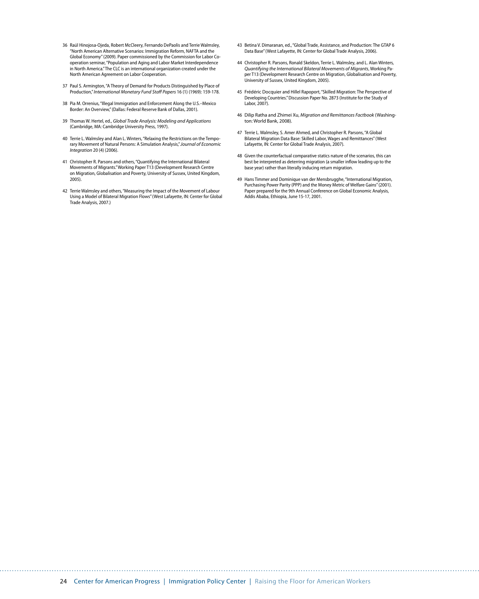- 36 [Raúl Hinojosa-Ojeda, Robert McCleery, Fernando DePaolis and Terrie Walmsley,](http://borderbattles.ssrc.org/Cornelius/)  ["North American Alternative Scenarios: Immigration Reform, NAFTA and the](http://borderbattles.ssrc.org/Cornelius/)  [Global Economy" \(2009\). Paper commissioned by the Commission for Labor Co](http://borderbattles.ssrc.org/Cornelius/)[operation seminar, "Population and Aging and Labor Market Interdependence](http://borderbattles.ssrc.org/Cornelius/)  [in North America." The CLC is an international organization created under the](http://borderbattles.ssrc.org/Cornelius/)  [North American Agreement on Labor Cooperation.](http://borderbattles.ssrc.org/Cornelius/)
- 37 [Paul S. Armington, "A Theory of Demand for Products Distinguished by Place of](http://borderbattles.ssrc.org/Cornelius/)  Production," *[International Monetary Fund](http://borderbattles.ssrc.org/Cornelius/) Staff Papers* 16 (1) (1969): 159-178.
- 38 [Pia M. Orrenius, "Illegal Immigration and Enforcement Along the U.S.–Mexico](http://borderbattles.ssrc.org/Cornelius/)  [Border: An Overview," \(Dallas: Federal Reserve Bank of Dallas, 2001\).](http://borderbattles.ssrc.org/Cornelius/)
- 39 Thomas W. Hertel, ed., *[Global Trade Analysis: Modeling and Applications](http://borderbattles.ssrc.org/Cornelius/)*  [\(Cambridge, MA: Cambridge University Press, 1997\).](http://borderbattles.ssrc.org/Cornelius/)
- 40 [Terrie L. Walmsley and Alan L. Winters, "Relaxing the Restrictions on the Tempo](http://borderbattles.ssrc.org/Cornelius/)[rary Movement of Natural Persons: A Simulation Analysis,"](http://borderbattles.ssrc.org/Cornelius/) *Journal of Economic Integration* [20 \(4\) \(2006\).](http://borderbattles.ssrc.org/Cornelius/)
- 41 [Christopher R. Parsons and others, "Quantifying the International Bilateral](http://borderbattles.ssrc.org/Cornelius/)  [Movements of Migrants." Working Paper T13 \(Development Research Centre](http://borderbattles.ssrc.org/Cornelius/)  [on Migration, Globalisation and Poverty, University of Sussex, United Kingdom,](http://borderbattles.ssrc.org/Cornelius/)  [2005\).](http://borderbattles.ssrc.org/Cornelius/)
- 42 [Terrie Walmsley and others, "Measuring the Impact of the Movement of Labour](http://borderbattles.ssrc.org/Cornelius/)  [Using a Model of Bilateral Migration Flows" \(West Lafayette, IN: Center for Global](http://borderbattles.ssrc.org/Cornelius/)  [Trade Analysis, 2007.\)](http://borderbattles.ssrc.org/Cornelius/)
- 43 [Betina V. Dimaranan, ed., "Global Trade, Assistance, and Production: The GTAP 6](http://borderbattles.ssrc.org/Cornelius/)  [Data Base" \(West Lafayette, IN: Center for Global Trade Analysis, 2006\).](http://borderbattles.ssrc.org/Cornelius/)
- 44 [Christopher R. Parsons, Ronald Skeldon, Terrie L. Walmsley, and L. Alan Winters,](http://borderbattles.ssrc.org/Cornelius/)  *[Quantifying the International Bilateral Movements of Migrants](http://borderbattles.ssrc.org/Cornelius/)*, Working Pa-[per T13 \(Development Research Centre on Migration, Globalisation and Poverty,](http://borderbattles.ssrc.org/Cornelius/)  [University of Sussex, United Kingdom, 2005\).](http://borderbattles.ssrc.org/Cornelius/)
- 45 Frédéric Docquier [and Hillel Rapoport, "Skilled Migration: The Perspective of](http://borderbattles.ssrc.org/Cornelius/)  [Developing Countries." Discussion Paper No. 2873 \(Institute for the Study of](http://borderbattles.ssrc.org/Cornelius/)  [Labor, 2007\).](http://borderbattles.ssrc.org/Cornelius/)
- 46 Dilip Ratha and Zhimei Xu, *[Migration and Remittances Factbook](http://borderbattles.ssrc.org/Cornelius/)* (Washing[ton: World Bank, 2008\).](http://borderbattles.ssrc.org/Cornelius/)
- 47 [Terrie L. Walmsley, S. Amer Ahmed, and Christopher R. Parsons, "A Global](http://borderbattles.ssrc.org/Cornelius/)  [Bilateral Migration Data Base: Skilled Labor, Wages and Remittances" \(West](http://borderbattles.ssrc.org/Cornelius/)  [Lafayette, IN: Center for Global Trade Analysis, 2007\).](http://borderbattles.ssrc.org/Cornelius/)
- 48 [Given the counterfactual comparative statics nature of the scenarios, this can](http://borderbattles.ssrc.org/Cornelius/)  [best be interpreted as deterring migration \(a smaller inflow leading up to the](http://borderbattles.ssrc.org/Cornelius/)  [base year\) rather than literally inducing return migration.](http://borderbattles.ssrc.org/Cornelius/)
- 49 [Hans Timmer and Dominique van der Mensbrugghe, "International Migration,](http://borderbattles.ssrc.org/Cornelius/)  [Purchasing Power Parity \(PPP\) and the Money Metric of Welfare Gains" \(2001\).](http://borderbattles.ssrc.org/Cornelius/)  [Paper prepared for the 9th Annual Conference on Global Economic Analysis,](http://borderbattles.ssrc.org/Cornelius/)  [Addis Ababa, Ethiopia, June 15-17, 2001.](http://borderbattles.ssrc.org/Cornelius/)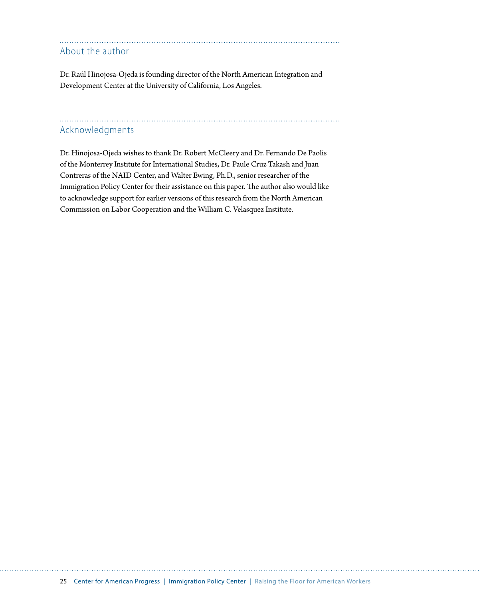### About the author

[Dr. Raúl Hinojosa-Ojeda](http://naid.sppsr.ucla.edu/Staff/Staff.html) is founding director of the North American Integration and Development Center at the University of California, Los Angeles.

### Acknowledgments

Dr. Hinojosa-Ojeda wishes to thank Dr. Robert McCleery and Dr. Fernando De Paolis of the Monterrey Institute for International Studies, Dr. Paule Cruz Takash and Juan Contreras of the NAID Center, and Walter Ewing, Ph.D., senior researcher of the Immigration Policy Center for their assistance on this paper. The author also would like to acknowledge support for earlier versions of this research from the [North American](http://www.naalc.org)  [Commission on Labor Cooperation](http://www.naalc.org) and the [William C. Velasquez Institute.](http://www.wcvi.org/intermestic_initiatives/immigwhitepaper012309.htm)